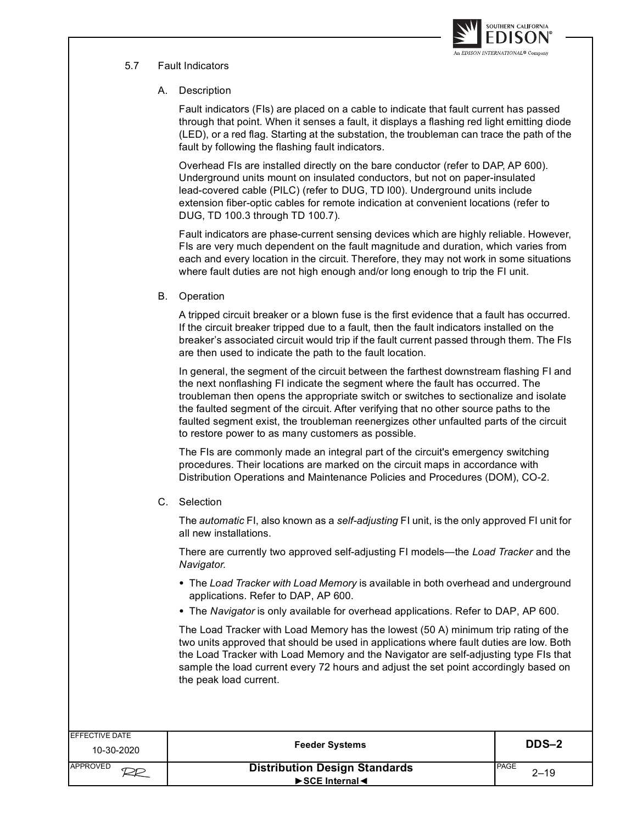

# 5.7 Fault Indicators

## A. Description

Fault indicators (FIs) are placed on a cable to indicate that fault current has passed through that point. When it senses a fault, it displays a flashing red light emitting diode (LED), or a red flag. Starting at the substation, the troubleman can trace the path of the fault by following the flashing fault indicators.

Overhead FIs are installed directly on the bare conductor (refer to DAP, AP 600). Underground units mount on insulated conductors, but not on paper-insulated lead-covered cable (PILC) (refer to DUG, TD I00). Underground units include extension fiber-optic cables for remote indication at convenient locations (refer to DUG, TD 100.3 through TD 100.7).

Fault indicators are phase-current sensing devices which are highly reliable. However, FIs are very much dependent on the fault magnitude and duration, which varies from each and every location in the circuit. Therefore, they may not work in some situations where fault duties are not high enough and/or long enough to trip the FI unit.

### B. Operation

A tripped circuit breaker or a blown fuse is the first evidence that a fault has occurred. If the circuit breaker tripped due to a fault, then the fault indicators installed on the breaker's associated circuit would trip if the fault current passed through them. The FIs are then used to indicate the path to the fault location.

In general, the segment of the circuit between the farthest downstream flashing FI and the next nonflashing FI indicate the segment where the fault has occurred. The troubleman then opens the appropriate switch or switches to sectionalize and isolate the faulted segment of the circuit. After verifying that no other source paths to the faulted segment exist, the troubleman reenergizes other unfaulted parts of the circuit to restore power to as many customers as possible.

The FIs are commonly made an integral part of the circuit's emergency switching procedures. Their locations are marked on the circuit maps in accordance with Distribution Operations and Maintenance Policies and Procedures (DOM), CO-2.

### C. Selection

The *automatic* FI, also known as a *self-adjusting* FI unit, is the only approved FI unit for all new installations.

There are currently two approved self-adjusting FI models—the Load Tracker and the Navigator.

- The Load Tracker with Load Memory is available in both overhead and underground applications. Refer to DAP, AP 600.
- The Navigator is only available for overhead applications. Refer to DAP, AP 600.

The Load Tracker with Load Memory has the lowest (50 A) minimum trip rating of the two units approved that should be used in applications where fault duties are low. Both the Load Tracker with Load Memory and the Navigator are self-adjusting type FIs that sample the load current every 72 hours and adjust the set point accordingly based on the peak load current.

| EFFECTIVE DATE<br>10-30-2020 | <b>Feeder Systems</b>                                                                 | <b>DDS-2</b>              |
|------------------------------|---------------------------------------------------------------------------------------|---------------------------|
| APPROVED                     | <b>Distribution Design Standards</b><br>$\triangleright$ SCE Internal $\triangleleft$ | <b>I</b> PAGE<br>$2 - 19$ |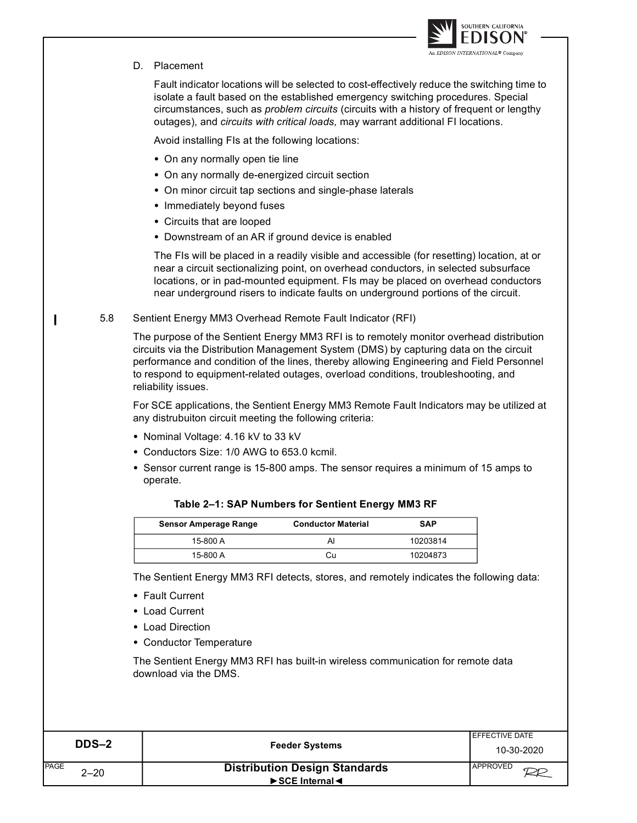

### D. Placement

 $\mathbf{I}$ 

Fault indicator locations will be selected to cost-effectively reduce the switching time to isolate a fault based on the established emergency switching procedures. Special circumstances, such as problem circuits (circuits with a history of frequent or lengthy outages), and circuits with critical loads, may warrant additional FI locations.

Avoid installing FIs at the following locations:

- On any normally open tie line
- On any normally de-energized circuit section
- On minor circuit tap sections and single-phase laterals
- Immediately beyond fuses
- Circuits that are looped
- Downstream of an AR if ground device is enabled

The FIs will be placed in a readily visible and accessible (for resetting) location, at or near a circuit sectionalizing point, on overhead conductors, in selected subsurface locations, or in pad-mounted equipment. FIs may be placed on overhead conductors near underground risers to indicate faults on underground portions of the circuit.

#### 5.8 Sentient Energy MM3 Overhead Remote Fault Indicator (RFI)

The purpose of the Sentient Energy MM3 RFI is to remotely monitor overhead distribution circuits via the Distribution Management System (DMS) by capturing data on the circuit performance and condition of the lines, thereby allowing Engineering and Field Personnel to respond to equipment-related outages, overload conditions, troubleshooting, and reliability issues.

For SCE applications, the Sentient Energy MM3 Remote Fault Indicators may be utilized at any distrubuiton circuit meeting the following criteria:

- Nominal Voltage: 4.16 kV to 33 kV
- Conductors Size: 1/0 AWG to 653.0 kcmil.
- Sensor current range is 15-800 amps. The sensor requires a minimum of 15 amps to operate.

| <b>Sensor Amperage Range</b> | <b>Conductor Material</b> | <b>SAP</b> |
|------------------------------|---------------------------|------------|
| 15-800 A                     | Al                        | 10203814   |
| 15-800 A                     | Cυ                        | 10204873   |

#### Table 2-1: SAP Numbers for Sentient Energy MM3 RF

The Sentient Energy MM3 RFI detects, stores, and remotely indicates the following data:

- Fault Current
- Load Current
- Load Direction
- Conductor Temperature

The Sentient Energy MM3 RFI has built-in wireless communication for remote data download via the DMS.

| DDS-2                   | <b>Feeder Systems</b>                         | <b>IEFFECTIVE DATE</b> |
|-------------------------|-----------------------------------------------|------------------------|
|                         |                                               | 10-30-2020             |
| <b>PAGE</b><br>$2 - 20$ | <b>Distribution Design Standards</b>          | <b>I</b> APPROVED      |
|                         | $\triangleright$ SCE Internal $\triangleleft$ |                        |